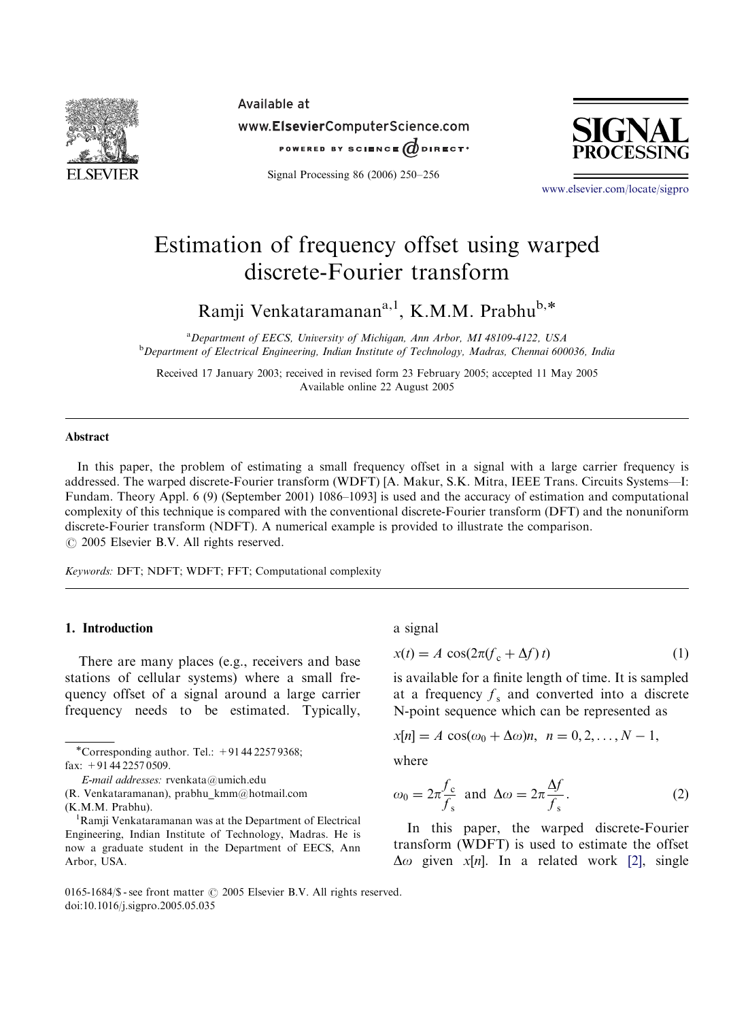

Available at www.ElsevierComputerScience.com POWERED BY SCIENCE  $\vec{a}$  direct.

Signal Processing 86 (2006) 250–256



www.elsevier.com/locate/sigpro

# Estimation of frequency offset using warped discrete-Fourier transform

Ramji Venkataramanan<sup>a, 1</sup>, K.M.M. Prabhu<sup>b,\*</sup>

<sup>a</sup>*Department of EECS, University of Michigan, Ann Arbor, MI 48109-4122, USA* <sup>b</sup>*Department of Electrical Engineering, Indian Institute of Technology, Madras, Chennai 600036, India*

Received 17 January 2003; received in revised form 23 February 2005; accepted 11 May 2005 Available online 22 August 2005

## **Abstract**

In this paper, the problem of estimating a small frequency offset in a signal with a large carrier frequency is addressed. The warped discrete-Fourier transform (WDFT) [A. Makur, S.K. Mitra, IEEE Trans. Circuits Systems—I: Fundam. Theory Appl. 6 (9) (September 2001) 1086–1093] is used and the accuracy of estimation and computational complexity of this technique is compared with the conventional discrete-Fourier transform (DFT) and the nonuniform discrete-Fourier transform (NDFT). A numerical example is provided to illustrate the comparison.  $\odot$  2005 Elsevier B.V. All rights reserved.

*Keywords:* DFT; NDFT; WDFT; FFT; Computational complexity

## 1. Introduction

There are many places (e.g., receivers and base stations of cellular systems) where a small frequency offset of a signal around a large carrier frequency needs to be estimated. Typically,

\*Corresponding author. Tel.:  $+914422579368$ ; fax: +91 44 2257 0509.

(R. Venkataramanan), prabhu\_kmm@hotmail.com

(K.M.M. Prabhu).

a signal

$$
x(t) = A \cos(2\pi (f_c + \Delta f)t)
$$
 (1)

is available for a finite length of time. It is sampled at a frequency  $f_s$  and converted into a discrete N-point sequence which can be represented as

$$
x[n] = A \cos(\omega_0 + \Delta \omega)n, \ \ n = 0, 2, \dots, N - 1,
$$

where

$$
\omega_0 = 2\pi \frac{f_c}{f_s} \text{ and } \Delta \omega = 2\pi \frac{\Delta f}{f_s}.
$$
 (2)

In this paper, the warped discrete-Fourier transform (WDFT) is used to estimate the offset  $\Delta \omega$  given *x*[*n*]. In a related work [2], single

#### 0165-1684/\$ - see front matter  $\odot$  2005 Elsevier B.V. All rights reserved. doi:10.1016/j.sigpro.2005.05.035

*E-mail addresses:* rvenkata@umich.edu

<sup>&</sup>lt;sup>1</sup>Ramji Venkataramanan was at the Department of Electrical Engineering, Indian Institute of Technology, Madras. He is now a graduate student in the Department of EECS, Ann Arbor, USA.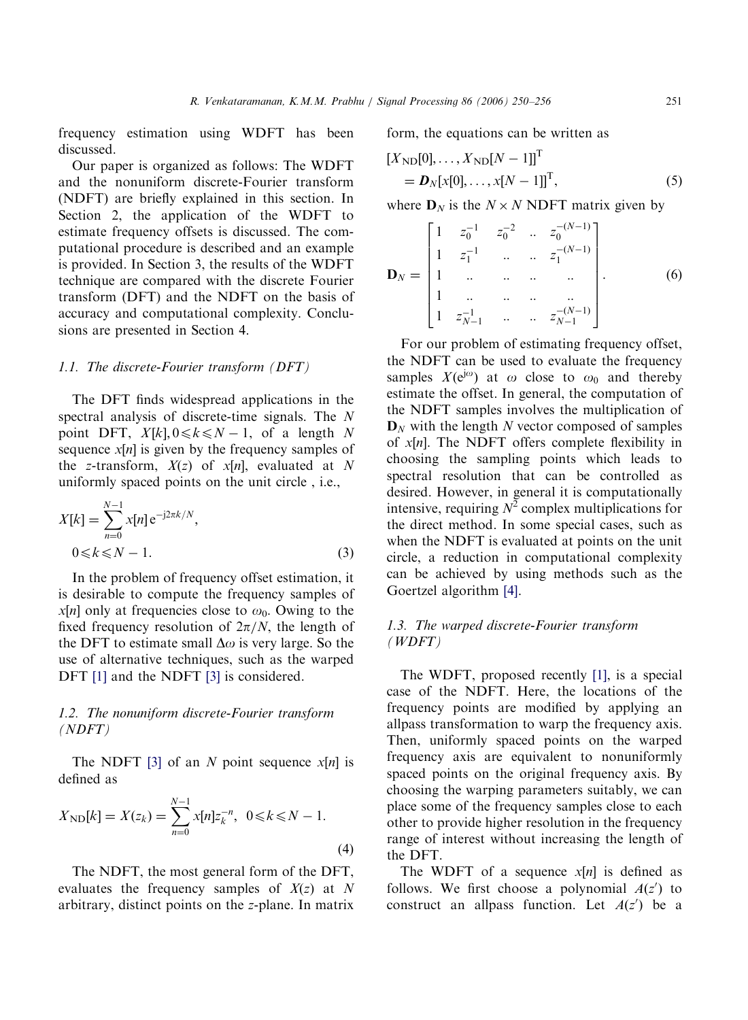frequency estimation using WDFT has been discussed.

Our paper is organized as follows: The WDFT and the nonuniform discrete-Fourier transform (NDFT) are briefly explained in this section. In Section 2, the application of the WDFT to estimate frequency offsets is discussed. The computational procedure is described and an example is provided. In Section 3, the results of the WDFT technique are compared with the discrete Fourier transform (DFT) and the NDFT on the basis of accuracy and computational complexity. Conclusions are presented in Section 4.

#### *1.1. The discrete-Fourier transform (DFT)*

The DFT finds widespread applications in the spectral analysis of discrete-time signals. The *N* point DFT,  $X[k], 0 \le k \le N - 1$ , of a length *N* sequence  $x[n]$  is given by the frequency samples of the *z*-transform,  $X(z)$  of  $x[n]$ , evaluated at N uniformly spaced points on the unit circle , i.e.,

$$
X[k] = \sum_{n=0}^{N-1} x[n] e^{-j2\pi k/N},
$$
  
0 <  $k \le N - 1$ . (3)

In the problem of frequency offset estimation, it is desirable to compute the frequency samples of *x*[*n*] only at frequencies close to  $\omega_0$ . Owing to the fixed frequency resolution of  $2\pi/N$ , the length of the DFT to estimate small  $\Delta\omega$  is very large. So the use of alternative techniques, such as the warped DFT [1] and the NDFT [3] is considered.

# *1.2. The nonuniform discrete-Fourier transform (NDFT)*

The NDFT [3] of an *N* point sequence *x*[*n*] is defined as

$$
X_{\rm ND}[k] = X(z_k) = \sum_{n=0}^{N-1} x[n] z_k^{-n}, \ \ 0 \le k \le N - 1.
$$
\n(4)

The NDFT, the most general form of the DFT, evaluates the frequency samples of *X*(*z*) at *N* arbitrary, distinct points on the *z*-plane. In matrix

form, the equations can be written as

$$
[X_{\text{ND}}[0], ..., X_{\text{ND}}[N-1]]^{T}
$$
  
=  $\mathbf{D}_{N}[x[0], ..., x[N-1]]^{T}$ , (5)

where  $D_N$  is the  $N \times N$  NDFT matrix given by

$$
\mathbf{D}_{N} = \begin{bmatrix} 1 & z_{0}^{-1} & z_{0}^{-2} & \cdots & z_{0}^{-(N-1)} \\ 1 & z_{1}^{-1} & \cdots & \cdots & z_{1}^{-(N-1)} \\ 1 & \cdots & \cdots & \cdots & \cdots \\ 1 & \cdots & \cdots & \cdots & \cdots \\ 1 & z_{N-1}^{-1} & \cdots & \cdots & z_{N-1}^{-(N-1)} \end{bmatrix} .
$$
 (6)

For our problem of estimating frequency offset, the NDFT can be used to evaluate the frequency samples  $X(e^{j\omega})$  at  $\omega$  close to  $\omega_0$  and thereby estimate the offset. In general, the computation of the NDFT samples involves the multiplication of  $D_N$  with the length *N* vector composed of samples of *x*[*n*]. The NDFT offers complete flexibility in choosing the sampling points which leads to spectral resolution that can be controlled as desired. However, in general it is computationally intensive, requiring  $N^2$  complex multiplications for the direct method. In some special cases, such as when the NDFT is evaluated at points on the unit circle, a reduction in computational complexity can be achieved by using methods such as the Goertzel algorithm [4].

# *1.3. The warped discrete-Fourier transform (WDFT)*

The WDFT, proposed recently [1], is a special case of the NDFT. Here, the locations of the frequency points are modified by applying an allpass transformation to warp the frequency axis. Then, uniformly spaced points on the warped frequency axis are equivalent to nonuniformly spaced points on the original frequency axis. By choosing the warping parameters suitably, we can place some of the frequency samples close to each other to provide higher resolution in the frequency range of interest without increasing the length of the DFT.

The WDFT of a sequence *x*[*n*] is defined as follows. We first choose a polynomial  $A(z')$  to construct an allpass function. Let  $A(z')$  be a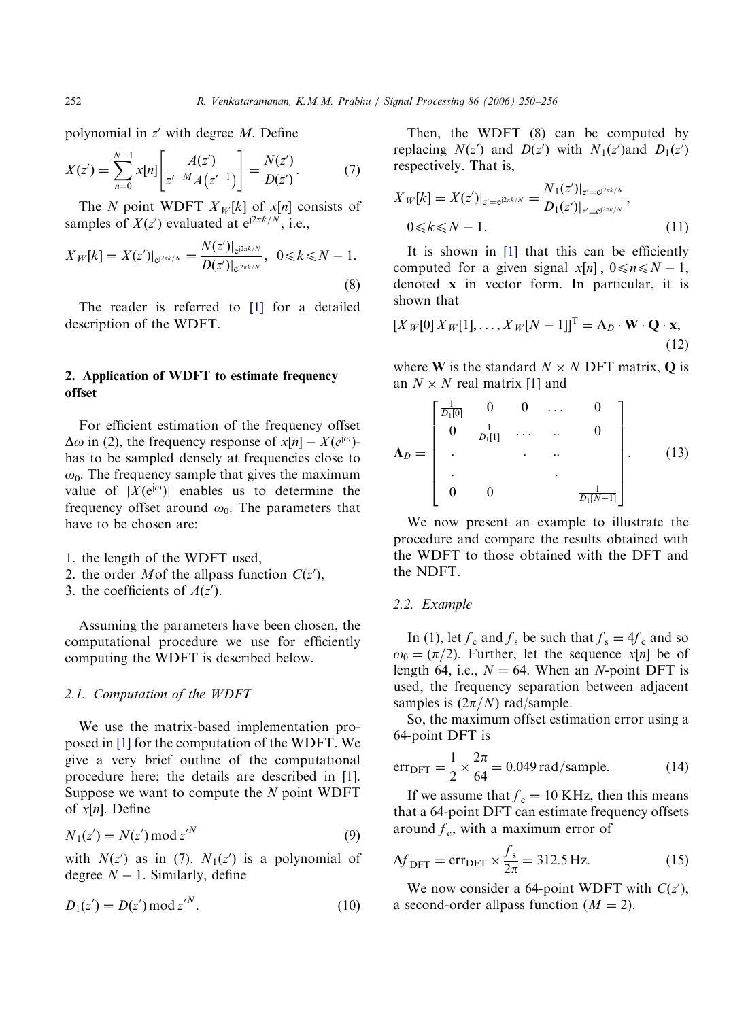polynomial in z' with degree M. Define

$$
X(z') = \sum_{n=0}^{N-1} x[n] \left[ \frac{A(z')}{z'^{-M} A(z'^{-1})} \right] = \frac{N(z')}{D(z')}.
$$
 (7)

The *N* point WDFT  $X_W[k]$  of  $x[n]$  consists of samples of  $X(z')$  evaluated at  $e^{j2\pi k/N}$ , i.e.,

$$
X_{W}[k] = X(z')|_{e^{j2\pi k/N}} = \frac{N(z')|_{e^{j2\pi k/N}}}{D(z')|_{e^{j2\pi k/N}}}, \ \ 0 \le k \le N - 1.
$$
\n(8)

The reader is referred to [1] for a detailed description of the WDFT.

# 2. Application of WDFT to estimate frequency offset

For efficient estimation of the frequency offset  $\Delta \omega$  in (2), the frequency response of  $x[n] - X(e^{j\omega})$ has to be sampled densely at frequencies close to  $\omega_0$ . The frequency sample that gives the maximum value of  $|\hat{X}(e^{j\omega})|$  enables us to determine the frequency offset around  $\omega_0$ . The parameters that have to be chosen are:

- 1. the length of the WDFT used,
- 2. the order *M* of the allpass function  $C(z')$ ,

3. the coefficients of  $A(z')$ .

Assuming the parameters have been chosen, the computational procedure we use for efficiently computing the WDFT is described below.

## *2.1. Computation of the WDFT*

We use the matrix-based implementation proposed in [1] for the computation of the WDFT. We give a very brief outline of the computational procedure here; the details are described in [1]. Suppose we want to compute the *N* point WDFT of *x*½*n*. Define

$$
N_1(z') = N(z') \operatorname{mod} z'^N \tag{9}
$$

with  $N(z')$  as in (7).  $N_1(z')$  is a polynomial of degree  $N-1$ . Similarly, define

$$
D_1(z') = D(z') \bmod z'^N.
$$
 (10)

Then, the WDFT (8) can be computed by replacing  $N(z')$  and  $D(z')$  with  $N_1(z')$  and  $D_1(z')$ respectively. That is,

$$
X_{W}[k] = X(z')|_{z'=e^{j2\pi k/N}} = \frac{N_1(z')|_{z'=e^{j2\pi k/N}}}{D_1(z')|_{z'=e^{j2\pi k/N}}},
$$
  
0<\k< N-1. (11)

It is shown in [1] that this can be efficiently computed for a given signal  $x[n]$ ,  $0 \le n \le N - 1$ , denoted x in vector form. In particular, it is shown that

$$
[X_W[0]X_W[1], \dots, X_W[N-1]]^{\mathrm{T}} = \Lambda_D \cdot \mathbf{W} \cdot \mathbf{Q} \cdot \mathbf{x},\tag{12}
$$

where **W** is the standard  $N \times N$  DFT matrix, **Q** is an  $N \times N$  real matrix [1] and

$$
\Lambda_D = \begin{bmatrix} \frac{1}{D_1[0]} & 0 & 0 & \dots & 0 \\ 0 & \frac{1}{D_1[1]} & \dots & \dots & 0 \\ \vdots & \vdots & \ddots & \vdots \\ 0 & 0 & \frac{1}{D_1[N-1]} \end{bmatrix} . \tag{13}
$$

We now present an example to illustrate the procedure and compare the results obtained with the WDFT to those obtained with the DFT and the NDFT.

#### *2.2. Example*

In (1), let  $f_c$  and  $f_s$  be such that  $f_s = 4f_c$  and so  $\omega_0 = (\pi/2)$ . Further, let the sequence *x*[*n*] be of length 64, i.e.,  $N = 64$ . When an *N*-point DFT is used, the frequency separation between adjacent samples is  $(2\pi/N)$  rad/sample.

So, the maximum offset estimation error using a 64-point DFT is

$$
err_{DFT} = \frac{1}{2} \times \frac{2\pi}{64} = 0.049 \text{ rad/sample.}
$$
 (14)

If we assume that  $f_c = 10$  KHz, then this means that a 64-point DFT can estimate frequency offsets around  $f_c$ , with a maximum error of

$$
\Delta f_{\text{DFT}} = \text{err}_{\text{DFT}} \times \frac{f_s}{2\pi} = 312.5 \,\text{Hz}.\tag{15}
$$

We now consider a 64-point WDFT with  $C(z')$ , a second-order allpass function  $(M = 2)$ .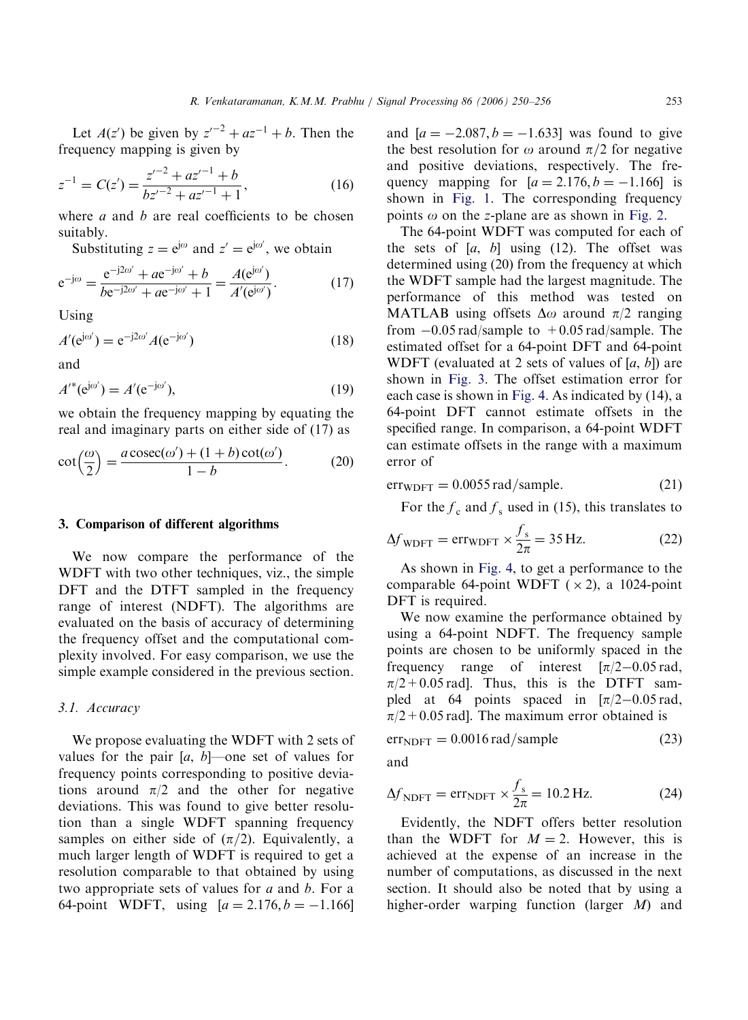Let  $A(z')$  be given by  $z'^{-2} + az^{-1} + b$ . Then the frequency mapping is given by

$$
z^{-1} = C(z') = \frac{z'^{-2} + az'^{-1} + b}{bz'^{-2} + az'^{-1} + 1},
$$
\n(16)

where *a* and *b* are real coefficients to be chosen suitably.

Substituting  $z = e^{j\omega}$  and  $z' = e^{j\omega'}$ , we obtain

$$
e^{-j\omega} = \frac{e^{-j2\omega'} + ae^{-j\omega'} + b}{be^{-j2\omega'} + ae^{-j\omega'} + 1} = \frac{A(e^{j\omega'})}{A'(e^{j\omega'})}.
$$
 (17)

Using

$$
A'(\mathrm{e}^{\mathrm{j}\omega'}) = \mathrm{e}^{-\mathrm{j}2\omega'} A(\mathrm{e}^{-\mathrm{j}\omega'})
$$
 (18)

and

$$
A'^{*}(\mathrm{e}^{\mathrm{j}\omega'}) = A'(\mathrm{e}^{-\mathrm{j}\omega'}),\tag{19}
$$

we obtain the frequency mapping by equating the real and imaginary parts on either side of (17) as

$$
\cot\left(\frac{\omega}{2}\right) = \frac{a\csc(\omega') + (1+b)\cot(\omega')}{1-b}.
$$
 (20)

#### 3. Comparison of different algorithms

We now compare the performance of the WDFT with two other techniques, viz., the simple DFT and the DTFT sampled in the frequency range of interest (NDFT). The algorithms are evaluated on the basis of accuracy of determining the frequency offset and the computational complexity involved. For easy comparison, we use the simple example considered in the previous section.

## *3.1. Accuracy*

We propose evaluating the WDFT with 2 sets of values for the pair  $[a, b]$ —one set of values for frequency points corresponding to positive deviations around  $\pi/2$  and the other for negative deviations. This was found to give better resolution than a single WDFT spanning frequency samples on either side of  $(\pi/2)$ . Equivalently, a much larger length of WDFT is required to get a resolution comparable to that obtained by using two appropriate sets of values for *a* and *b*. For a 64-point WDFT, using  $[a = 2.176, b = -1.166]$ 

and  $[a = -2.087, b = -1.633]$  was found to give the best resolution for  $\omega$  around  $\pi/2$  for negative and positive deviations, respectively. The frequency mapping for  $[a = 2.176, b = -1.166]$  is shown in Fig. 1. The corresponding frequency points  $\omega$  on the *z*-plane are as shown in Fig. 2.

The 64-point WDFT was computed for each of the sets of [*a*, *b*] using (12). The offset was determined using (20) from the frequency at which the WDFT sample had the largest magnitude. The performance of this method was tested on MATLAB using offsets  $\Delta\omega$  around  $\pi/2$  ranging from  $-0.05$  rad/sample to  $+0.05$  rad/sample. The estimated offset for a 64-point DFT and 64-point WDFT (evaluated at 2 sets of values of [*a*, *b*]) are shown in Fig. 3. The offset estimation error for each case is shown in Fig. 4. As indicated by (14), a 64-point DFT cannot estimate offsets in the specified range. In comparison, a 64-point WDFT can estimate offsets in the range with a maximum error of

$$
err_{\text{WDFT}} = 0.0055 \,\text{rad/sample.} \tag{21}
$$

For the  $f_c$  and  $f_s$  used in (15), this translates to

$$
\Delta f_{\text{WDFT}} = \text{err}_{\text{WDFT}} \times \frac{f_s}{2\pi} = 35 \text{ Hz.}
$$
 (22)

As shown in Fig. 4, to get a performance to the comparable 64-point WDFT  $(\times 2)$ , a 1024-point DFT is required.

We now examine the performance obtained by using a 64-point NDFT. The frequency sample points are chosen to be uniformly spaced in the frequency range of interest  $[\pi/2-0.05 \text{ rad}]$ ,  $\pi/2$  + 0.05 rad]. Thus, this is the DTFT sampled at 64 points spaced in  $[\pi/2-0.05 \text{ rad}]$ ,  $\pi/2$  + 0.05 rad]. The maximum error obtained is

$$
errNDFT = 0.0016 rad/sample
$$
 (23)

and

$$
\Delta f_{\text{NDFT}} = \text{err}_{\text{NDFT}} \times \frac{f_s}{2\pi} = 10.2 \,\text{Hz.}
$$
 (24)

Evidently, the NDFT offers better resolution than the WDFT for  $M = 2$ . However, this is achieved at the expense of an increase in the number of computations, as discussed in the next section. It should also be noted that by using a higher-order warping function (larger *M*) and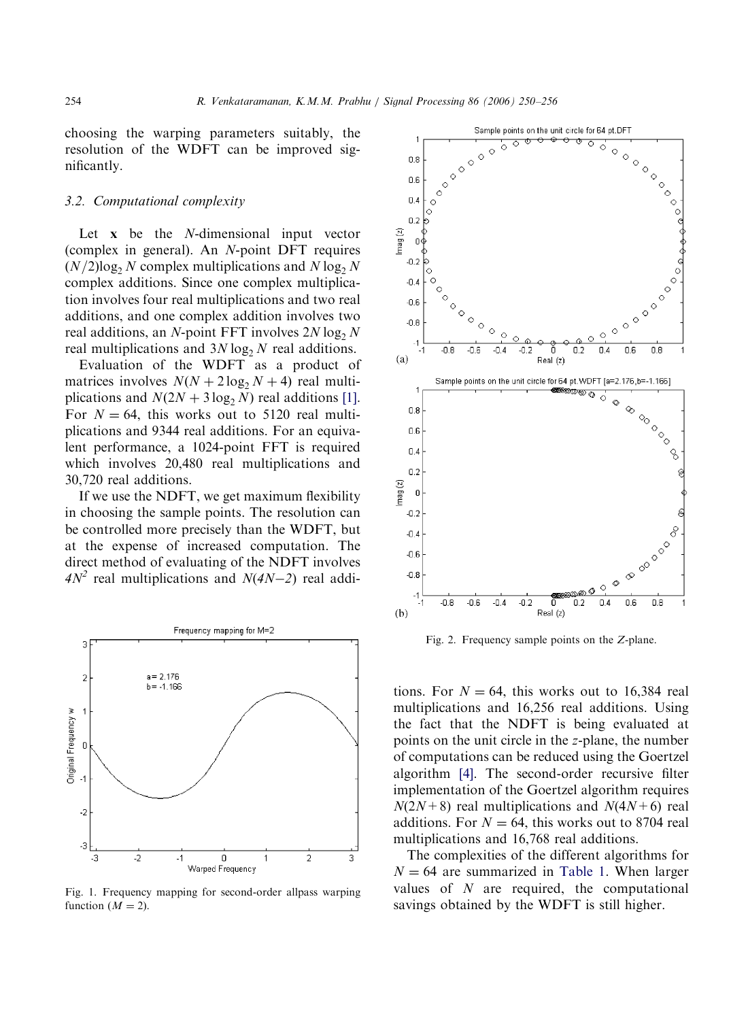choosing the warping parameters suitably, the resolution of the WDFT can be improved significantly.

## *3.2. Computational complexity*

Let x be the *N*-dimensional input vector (complex in general). An *N*-point DFT requires  $(N/2)$ log<sub>2</sub> *N* complex multiplications and  $N \log_2 N$ complex additions. Since one complex multiplication involves four real multiplications and two real additions, and one complex addition involves two real additions, an *N*-point FFT involves  $2N \log_2 N$ real multiplications and  $3N \log_2 N$  real additions.

Evaluation of the WDFT as a product of matrices involves  $N(N + 2 \log_2 N + 4)$  real multiplications and  $N(2N + 3 \log_2 N)$  real additions [1]. For  $N = 64$ , this works out to 5120 real multiplications and 9344 real additions. For an equivalent performance, a 1024-point FFT is required which involves 20,480 real multiplications and 30,720 real additions.

If we use the NDFT, we get maximum flexibility in choosing the sample points. The resolution can be controlled more precisely than the WDFT, but at the expense of increased computation. The direct method of evaluating of the NDFT involves  $4N^2$  real multiplications and  $N(4N-2)$  real addi-



Fig. 1. Frequency mapping for second-order allpass warping function  $(M = 2)$ .



Fig. 2. Frequency sample points on the *Z*-plane.

tions. For  $N = 64$ , this works out to 16,384 real multiplications and 16,256 real additions. Using the fact that the NDFT is being evaluated at points on the unit circle in the *z*-plane, the number of computations can be reduced using the Goertzel algorithm [4]. The second-order recursive filter implementation of the Goertzel algorithm requires  $N(2N+8)$  real multiplications and  $N(4N+6)$  real additions. For  $N = 64$ , this works out to 8704 real multiplications and 16,768 real additions.

The complexities of the different algorithms for  $N = 64$  are summarized in Table 1. When larger values of *N* are required, the computational savings obtained by the WDFT is still higher.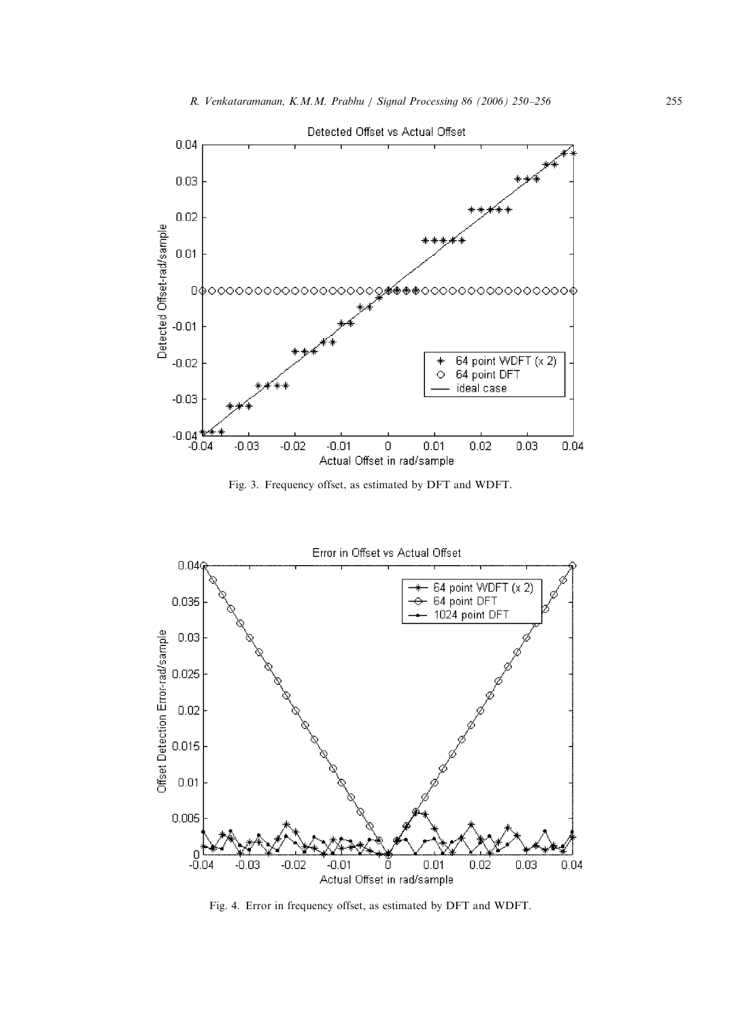

Fig. 3. Frequency offset, as estimated by DFT and WDFT.



Fig. 4. Error in frequency offset, as estimated by DFT and WDFT.